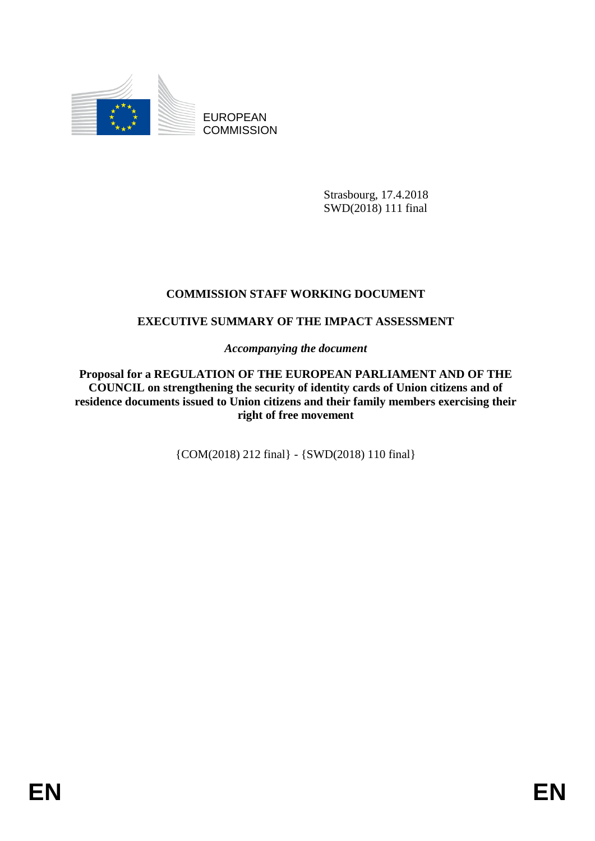

EUROPEAN **COMMISSION** 

> Strasbourg, 17.4.2018 SWD(2018) 111 final

# **COMMISSION STAFF WORKING DOCUMENT**

# **EXECUTIVE SUMMARY OF THE IMPACT ASSESSMENT**

*Accompanying the document*

**Proposal for a REGULATION OF THE EUROPEAN PARLIAMENT AND OF THE COUNCIL on strengthening the security of identity cards of Union citizens and of residence documents issued to Union citizens and their family members exercising their right of free movement**

{COM(2018) 212 final} - {SWD(2018) 110 final}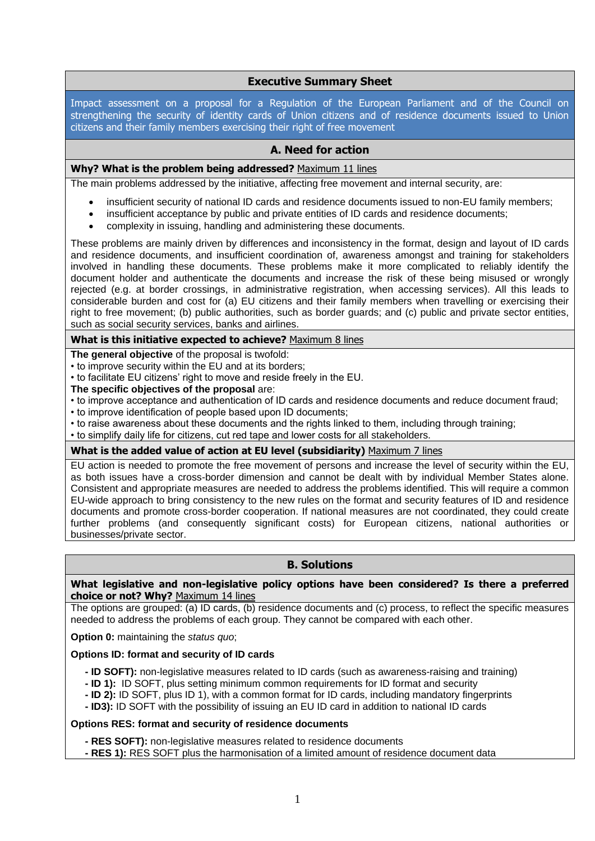# **Executive Summary Sheet**

Impact assessment on a proposal for a Regulation of the European Parliament and of the Council on strengthening the security of identity cards of Union citizens and of residence documents issued to Union citizens and their family members exercising their right of free movement

## **A. Need for action**

#### **Why? What is the problem being addressed?** Maximum 11 lines

The main problems addressed by the initiative, affecting free movement and internal security, are:

- insufficient security of national ID cards and residence documents issued to non-EU family members;
- insufficient acceptance by public and private entities of ID cards and residence documents;
- complexity in issuing, handling and administering these documents.

These problems are mainly driven by differences and inconsistency in the format, design and layout of ID cards and residence documents, and insufficient coordination of, awareness amongst and training for stakeholders involved in handling these documents. These problems make it more complicated to reliably identify the document holder and authenticate the documents and increase the risk of these being misused or wrongly rejected (e.g. at border crossings, in administrative registration, when accessing services). All this leads to considerable burden and cost for (a) EU citizens and their family members when travelling or exercising their right to free movement; (b) public authorities, such as border guards; and (c) public and private sector entities, such as social security services, banks and airlines.

#### **What is this initiative expected to achieve?** Maximum 8 lines

**The general objective** of the proposal is twofold:

- to improve security within the EU and at its borders;
- to facilitate EU citizens' right to move and reside freely in the EU.
- **The specific objectives of the proposal** are:
- to improve acceptance and authentication of ID cards and residence documents and reduce document fraud;
- to improve identification of people based upon ID documents;
- to raise awareness about these documents and the rights linked to them, including through training;
- to simplify daily life for citizens, cut red tape and lower costs for all stakeholders.

#### **What is the added value of action at EU level (subsidiarity)** Maximum 7 lines

EU action is needed to promote the free movement of persons and increase the level of security within the EU, as both issues have a cross-border dimension and cannot be dealt with by individual Member States alone. Consistent and appropriate measures are needed to address the problems identified. This will require a common EU-wide approach to bring consistency to the new rules on the format and security features of ID and residence documents and promote cross-border cooperation. If national measures are not coordinated, they could create further problems (and consequently significant costs) for European citizens, national authorities or businesses/private sector.

## **B. Solutions**

#### **What legislative and non-legislative policy options have been considered? Is there a preferred choice or not? Why?** Maximum 14 lines

The options are grouped: (a) ID cards, (b) residence documents and (c) process, to reflect the specific measures needed to address the problems of each group. They cannot be compared with each other.

**Option 0:** maintaining the *status quo*;

#### **Options ID: format and security of ID cards**

- **- ID SOFT):** non-legislative measures related to ID cards (such as awareness-raising and training)
- **- ID 1):** ID SOFT, plus setting minimum common requirements for ID format and security
- **- ID 2):** ID SOFT, plus ID 1), with a common format for ID cards, including mandatory fingerprints
- **- ID3):** ID SOFT with the possibility of issuing an EU ID card in addition to national ID cards

## **Options RES: format and security of residence documents**

- **- RES SOFT):** non-legislative measures related to residence documents
- **- RES 1):** RES SOFT plus the harmonisation of a limited amount of residence document data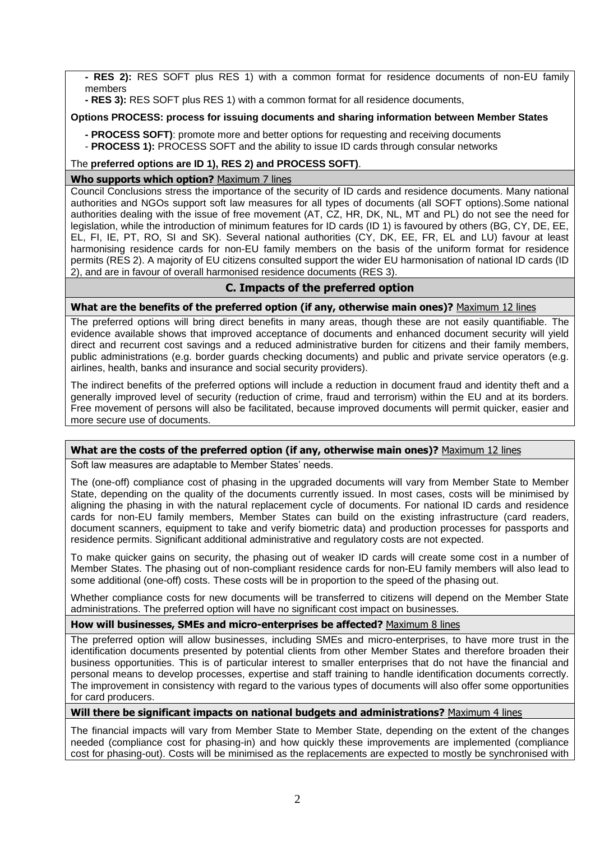**- RES 2):** RES SOFT plus RES 1) with a common format for residence documents of non-EU family members

**- RES 3):** RES SOFT plus RES 1) with a common format for all residence documents,

## **Options PROCESS: process for issuing documents and sharing information between Member States**

**- PROCESS SOFT)**: promote more and better options for requesting and receiving documents - **PROCESS 1):** PROCESS SOFT and the ability to issue ID cards through consular networks

## The **preferred options are ID 1), RES 2) and PROCESS SOFT)**.

## **Who supports which option?** Maximum 7 lines

Council Conclusions stress the importance of the security of ID cards and residence documents. Many national authorities and NGOs support soft law measures for all types of documents (all SOFT options).Some national authorities dealing with the issue of free movement (AT, CZ, HR, DK, NL, MT and PL) do not see the need for legislation, while the introduction of minimum features for ID cards (ID 1) is favoured by others (BG, CY, DE, EE, EL, FI, IE, PT, RO, SI and SK). Several national authorities (CY, DK, EE, FR, EL and LU) favour at least harmonising residence cards for non-EU family members on the basis of the uniform format for residence permits (RES 2). A majority of EU citizens consulted support the wider EU harmonisation of national ID cards (ID 2), and are in favour of overall harmonised residence documents (RES 3).

# **C. Impacts of the preferred option**

## **What are the benefits of the preferred option (if any, otherwise main ones)?** Maximum 12 lines

The preferred options will bring direct benefits in many areas, though these are not easily quantifiable. The evidence available shows that improved acceptance of documents and enhanced document security will yield direct and recurrent cost savings and a reduced administrative burden for citizens and their family members, public administrations (e.g. border guards checking documents) and public and private service operators (e.g. airlines, health, banks and insurance and social security providers).

The indirect benefits of the preferred options will include a reduction in document fraud and identity theft and a generally improved level of security (reduction of crime, fraud and terrorism) within the EU and at its borders. Free movement of persons will also be facilitated, because improved documents will permit quicker, easier and more secure use of documents.

## **What are the costs of the preferred option (if any, otherwise main ones)?** Maximum 12 lines

Soft law measures are adaptable to Member States' needs.

The (one-off) compliance cost of phasing in the upgraded documents will vary from Member State to Member State, depending on the quality of the documents currently issued. In most cases, costs will be minimised by aligning the phasing in with the natural replacement cycle of documents. For national ID cards and residence cards for non-EU family members, Member States can build on the existing infrastructure (card readers, document scanners, equipment to take and verify biometric data) and production processes for passports and residence permits. Significant additional administrative and regulatory costs are not expected.

To make quicker gains on security, the phasing out of weaker ID cards will create some cost in a number of Member States. The phasing out of non-compliant residence cards for non-EU family members will also lead to some additional (one-off) costs. These costs will be in proportion to the speed of the phasing out.

Whether compliance costs for new documents will be transferred to citizens will depend on the Member State administrations. The preferred option will have no significant cost impact on businesses.

## **How will businesses, SMEs and micro-enterprises be affected?** Maximum 8 lines

The preferred option will allow businesses, including SMEs and micro-enterprises, to have more trust in the identification documents presented by potential clients from other Member States and therefore broaden their business opportunities. This is of particular interest to smaller enterprises that do not have the financial and personal means to develop processes, expertise and staff training to handle identification documents correctly. The improvement in consistency with regard to the various types of documents will also offer some opportunities for card producers.

## **Will there be significant impacts on national budgets and administrations?** Maximum 4 lines

The financial impacts will vary from Member State to Member State, depending on the extent of the changes needed (compliance cost for phasing-in) and how quickly these improvements are implemented (compliance cost for phasing-out). Costs will be minimised as the replacements are expected to mostly be synchronised with